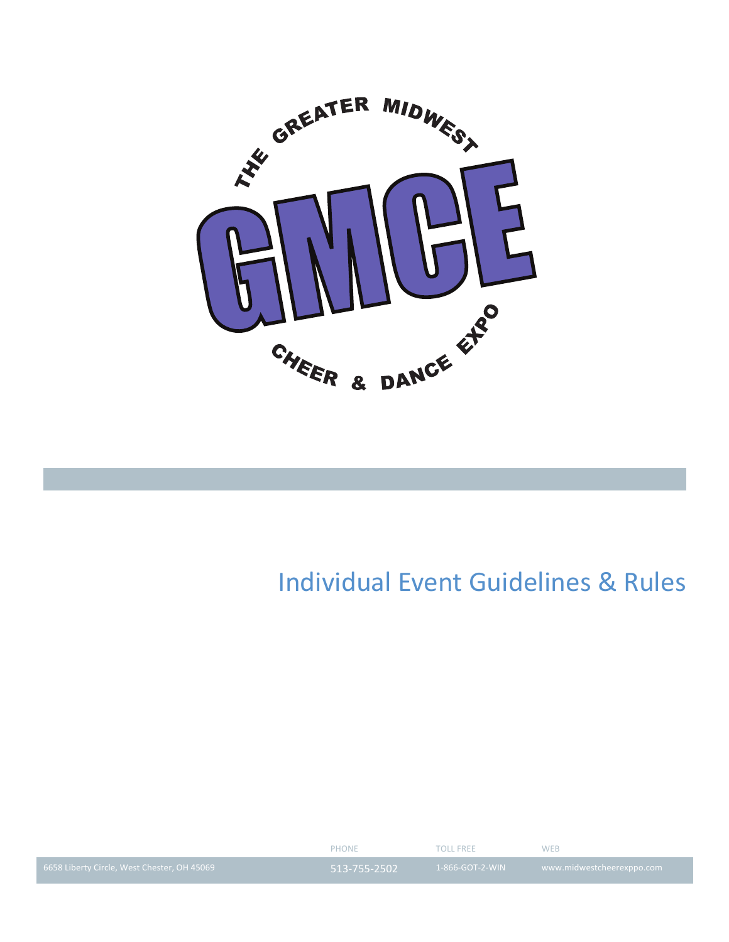

# **Individual Event Guidelines & Rules**

|                                             | PHONE        | TOLL ERFE       | <b>WFB</b>                |
|---------------------------------------------|--------------|-----------------|---------------------------|
| 6658 Liberty Circle, West Chester, OH 45069 | 513-755-2502 | 1-866-GOT-2-WIN | www.midwestcheerexppo.com |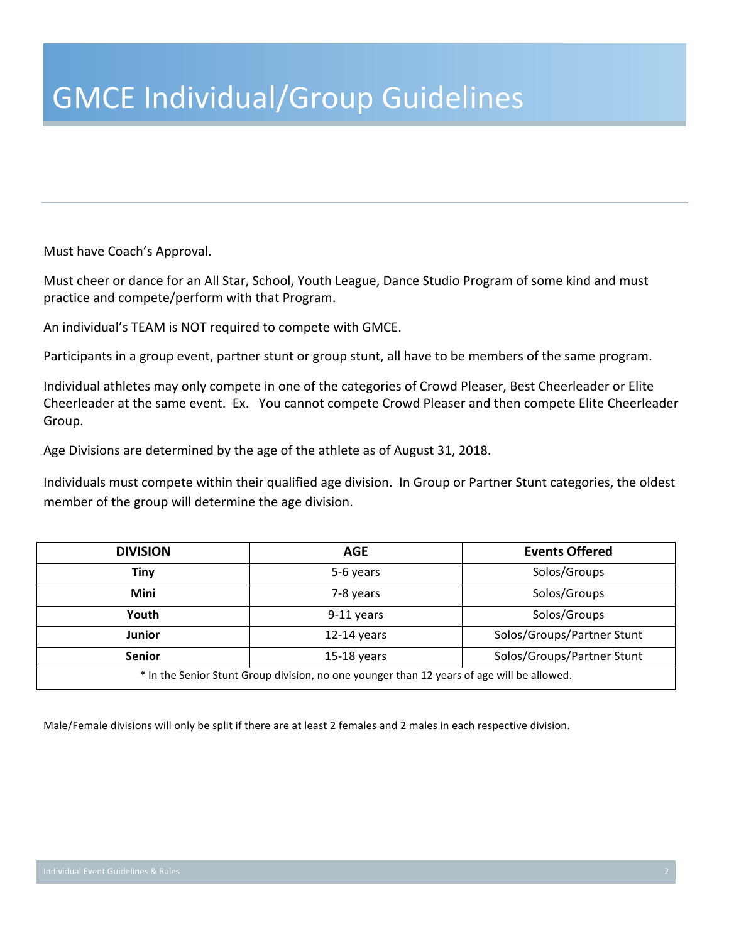Must have Coach's Approval.

Must cheer or dance for an All Star, School, Youth League, Dance Studio Program of some kind and must practice and compete/perform with that Program.

An individual's TEAM is NOT required to compete with GMCE.

Participants in a group event, partner stunt or group stunt, all have to be members of the same program.

Individual athletes may only compete in one of the categories of Crowd Pleaser, Best Cheerleader or Elite Cheerleader at the same event. Ex. You cannot compete Crowd Pleaser and then compete Elite Cheerleader Group.

Age Divisions are determined by the age of the athlete as of August 31, 2018.

Individuals must compete within their qualified age division. In Group or Partner Stunt categories, the oldest member of the group will determine the age division.

| <b>DIVISION</b>                                                                            | <b>AGE</b>    | <b>Events Offered</b>      |
|--------------------------------------------------------------------------------------------|---------------|----------------------------|
| Tiny                                                                                       | 5-6 years     | Solos/Groups               |
| Mini                                                                                       | 7-8 years     | Solos/Groups               |
| Youth                                                                                      | 9-11 years    | Solos/Groups               |
| <b>Junior</b>                                                                              | $12-14$ years | Solos/Groups/Partner Stunt |
| <b>Senior</b>                                                                              | $15-18$ years | Solos/Groups/Partner Stunt |
| * In the Senior Stunt Group division, no one younger than 12 years of age will be allowed. |               |                            |

Male/Female divisions will only be split if there are at least 2 females and 2 males in each respective division.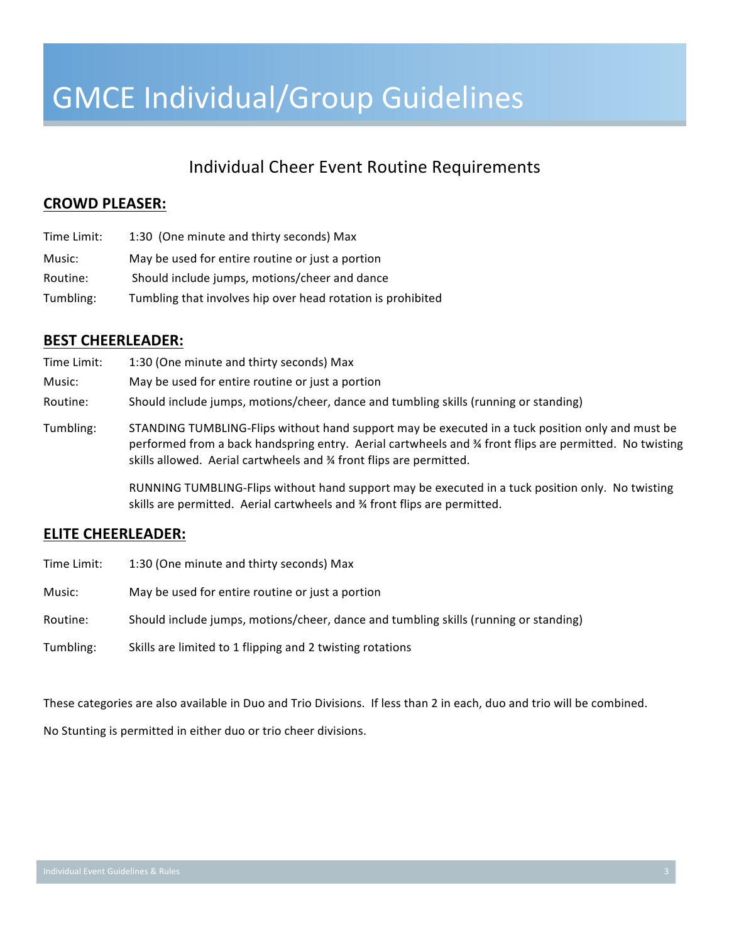## Individual Cheer Event Routine Requirements

### **CROWD PLEASER:**

| Time Limit: | 1:30 (One minute and thirty seconds) Max                    |
|-------------|-------------------------------------------------------------|
| Music:      | May be used for entire routine or just a portion            |
| Routine:    | Should include jumps, motions/cheer and dance               |
| Tumbling:   | Tumbling that involves hip over head rotation is prohibited |

### **BEST CHEERLEADER:**

| Time Limit: | 1:30 (One minute and thirty seconds) Max                                                                                                                                                                                                                                         |
|-------------|----------------------------------------------------------------------------------------------------------------------------------------------------------------------------------------------------------------------------------------------------------------------------------|
| Music:      | May be used for entire routine or just a portion                                                                                                                                                                                                                                 |
| Routine:    | Should include jumps, motions/cheer, dance and tumbling skills (running or standing)                                                                                                                                                                                             |
| Tumbling:   | STANDING TUMBLING-Flips without hand support may be executed in a tuck position only and must be<br>performed from a back handspring entry. Aerial cartwheels and % front flips are permitted. No twisting<br>skills allowed. Aerial cartwheels and % front flips are permitted. |

RUNNING TUMBLING-Flips without hand support may be executed in a tuck position only. No twisting skills are permitted. Aerial cartwheels and % front flips are permitted.

#### **ELITE CHEERLEADER:**

| Time Limit: | 1:30 (One minute and thirty seconds) Max                                             |
|-------------|--------------------------------------------------------------------------------------|
| Music:      | May be used for entire routine or just a portion                                     |
| Routine:    | Should include jumps, motions/cheer, dance and tumbling skills (running or standing) |
| Tumbling:   | Skills are limited to 1 flipping and 2 twisting rotations                            |

These categories are also available in Duo and Trio Divisions. If less than 2 in each, duo and trio will be combined.

No Stunting is permitted in either duo or trio cheer divisions.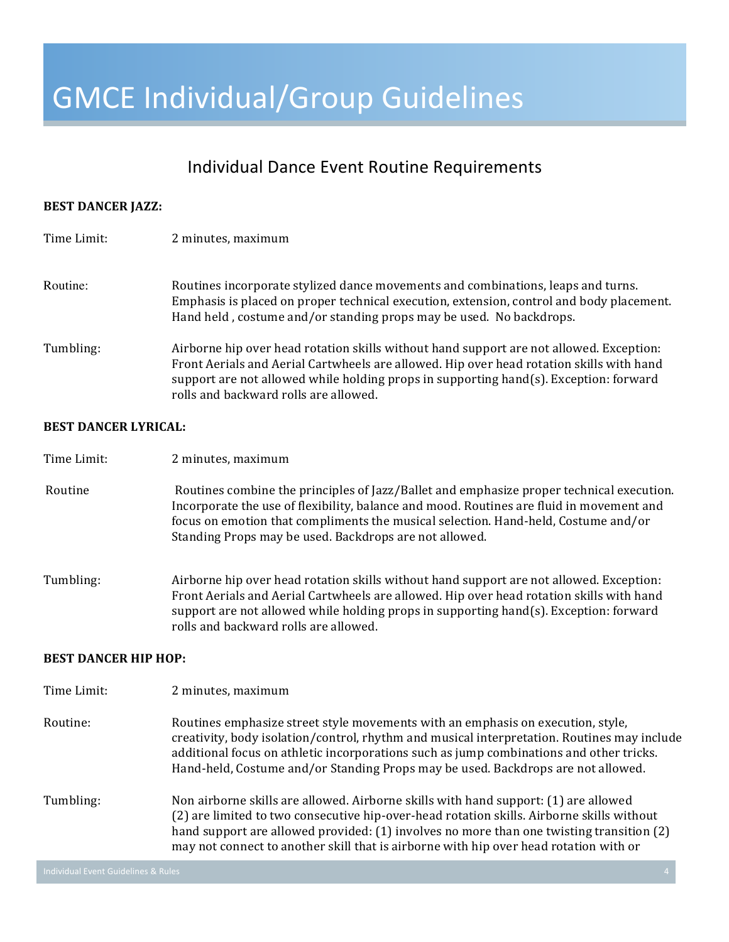### Individual Dance Event Routine Requirements

#### **BEST DANCER JAZZ:**

| Time Limit: | 2 minutes, maximum                                                                                                                                                                                                                                                                                                       |
|-------------|--------------------------------------------------------------------------------------------------------------------------------------------------------------------------------------------------------------------------------------------------------------------------------------------------------------------------|
| Routine:    | Routines incorporate stylized dance movements and combinations, leaps and turns.<br>Emphasis is placed on proper technical execution, extension, control and body placement.<br>Hand held, costume and/or standing props may be used. No backdrops.                                                                      |
| Tumbling:   | Airborne hip over head rotation skills without hand support are not allowed. Exception:<br>Front Aerials and Aerial Cartwheels are allowed. Hip over head rotation skills with hand<br>support are not allowed while holding props in supporting $hand(s)$ . Exception: forward<br>rolls and backward rolls are allowed. |

#### **BEST DANCER LYRICAL:**

- Routine Routines combine the principles of Jazz/Ballet and emphasize proper technical execution. Incorporate the use of flexibility, balance and mood. Routines are fluid in movement and focus on emotion that compliments the musical selection. Hand-held, Costume and/or Standing Props may be used. Backdrops are not allowed.
- Tumbling: Airborne hip over head rotation skills without hand support are not allowed. Exception: Front Aerials and Aerial Cartwheels are allowed. Hip over head rotation skills with hand support are not allowed while holding props in supporting  $hand(s)$ . Exception: forward rolls and backward rolls are allowed.

#### **BEST DANCER HIP HOP:**

Time Limit: 2 minutes, maximum

- Routine: Routines emphasize street style movements with an emphasis on execution, style, creativity, body isolation/control, rhythm and musical interpretation. Routines may include additional focus on athletic incorporations such as jump combinations and other tricks. Hand-held, Costume and/or Standing Props may be used. Backdrops are not allowed.
- Tumbling: Non airborne skills are allowed. Airborne skills with hand support: (1) are allowed (2) are limited to two consecutive hip-over-head rotation skills. Airborne skills without hand support are allowed provided:  $(1)$  involves no more than one twisting transition  $(2)$ may not connect to another skill that is airborne with hip over head rotation with or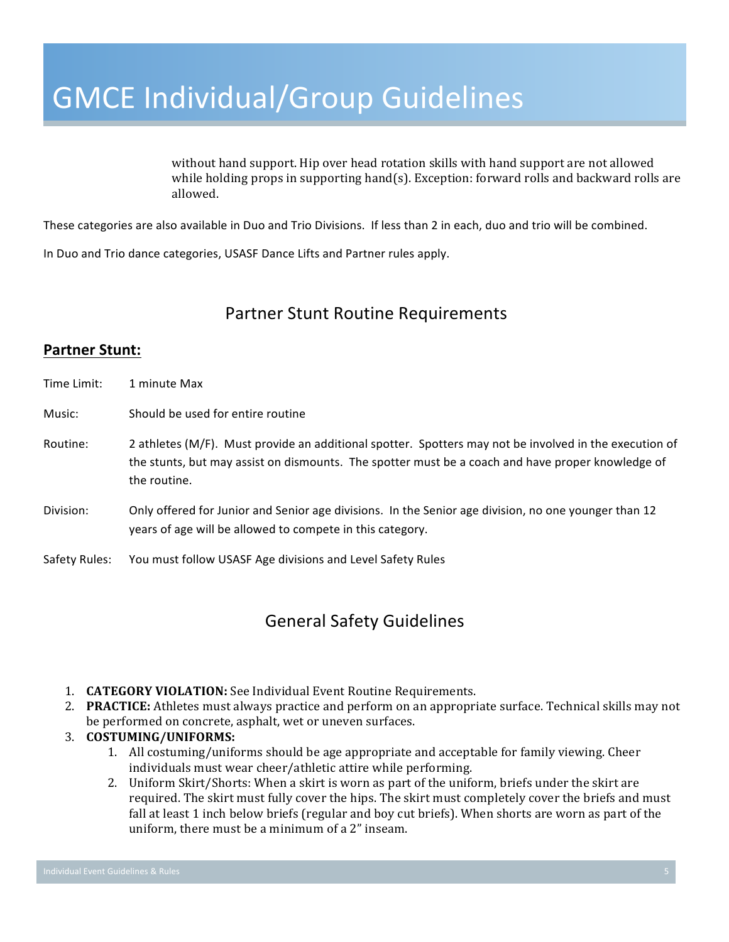without hand support. Hip over head rotation skills with hand support are not allowed while holding props in supporting  $hand(s)$ . Exception: forward rolls and backward rolls are allowed. 

These categories are also available in Duo and Trio Divisions. If less than 2 in each, duo and trio will be combined.

In Duo and Trio dance categories, USASF Dance Lifts and Partner rules apply.

### Partner Stunt Routine Requirements

### **Partner Stunt:**

| Time Limit:   | 1 minute Max                                                                                                                                                                                                                |
|---------------|-----------------------------------------------------------------------------------------------------------------------------------------------------------------------------------------------------------------------------|
| Music:        | Should be used for entire routine                                                                                                                                                                                           |
| Routine:      | 2 athletes (M/F). Must provide an additional spotter. Spotters may not be involved in the execution of<br>the stunts, but may assist on dismounts. The spotter must be a coach and have proper knowledge of<br>the routine. |
| Division:     | Only offered for Junior and Senior age divisions. In the Senior age division, no one younger than 12<br>years of age will be allowed to compete in this category.                                                           |
| Safety Rules: | You must follow USASF Age divisions and Level Safety Rules                                                                                                                                                                  |

## General Safety Guidelines

- 1. **CATEGORY VIOLATION:** See Individual Event Routine Requirements.
- 2. **PRACTICE:** Athletes must always practice and perform on an appropriate surface. Technical skills may not be performed on concrete, asphalt, wet or uneven surfaces.
- 3. **COSTUMING/UNIFORMS:** 
	- 1. All costuming/uniforms should be age appropriate and acceptable for family viewing. Cheer individuals must wear cheer/athletic attire while performing.
	- 2. Uniform Skirt/Shorts: When a skirt is worn as part of the uniform, briefs under the skirt are required. The skirt must fully cover the hips. The skirt must completely cover the briefs and must fall at least 1 inch below briefs (regular and boy cut briefs). When shorts are worn as part of the uniform, there must be a minimum of a  $2$ " inseam.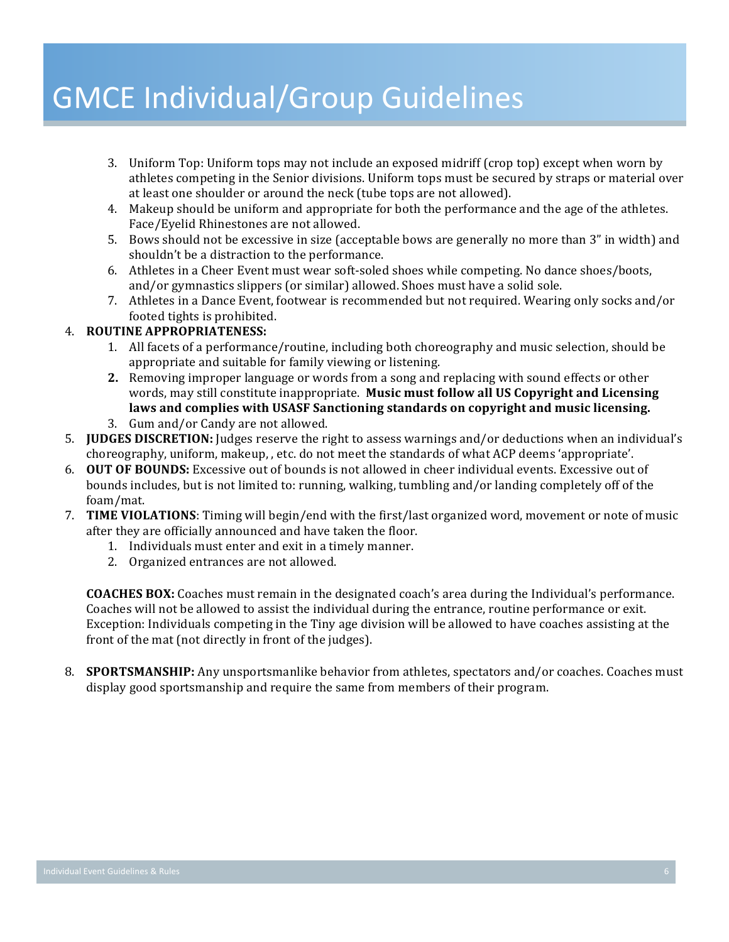- 3. Uniform Top: Uniform tops may not include an exposed midriff (crop top) except when worn by athletes competing in the Senior divisions. Uniform tops must be secured by straps or material over at least one shoulder or around the neck (tube tops are not allowed).
- 4. Makeup should be uniform and appropriate for both the performance and the age of the athletes. Face/Eyelid Rhinestones are not allowed.
- 5. Bows should not be excessive in size (acceptable bows are generally no more than 3" in width) and shouldn't be a distraction to the performance.
- 6. Athletes in a Cheer Event must wear soft-soled shoes while competing. No dance shoes/boots, and/or gymnastics slippers (or similar) allowed. Shoes must have a solid sole.
- 7. Athletes in a Dance Event, footwear is recommended but not required. Wearing only socks and/or footed tights is prohibited.

### 4. **ROUTINE APPROPRIATENESS:**

- 1. All facets of a performance/routine, including both choreography and music selection, should be appropriate and suitable for family viewing or listening.
- **2.** Removing improper language or words from a song and replacing with sound effects or other words, may still constitute inappropriate. Music must follow all US Copyright and Licensing laws and complies with USASF Sanctioning standards on copyright and music licensing.
- 3. Gum and/or Candy are not allowed.
- 5. **IUDGES DISCRETION:** Judges reserve the right to assess warnings and/or deductions when an individual's choreography, uniform, makeup, , etc. do not meet the standards of what ACP deems 'appropriate'.
- 6. **OUT OF BOUNDS:** Excessive out of bounds is not allowed in cheer individual events. Excessive out of bounds includes, but is not limited to: running, walking, tumbling and/or landing completely off of the foam/mat.
- 7. **TIME VIOLATIONS**: Timing will begin/end with the first/last organized word, movement or note of music after they are officially announced and have taken the floor.
	- 1. Individuals must enter and exit in a timely manner.
	- 2. Organized entrances are not allowed.

**COACHES BOX:** Coaches must remain in the designated coach's area during the Individual's performance. Coaches will not be allowed to assist the individual during the entrance, routine performance or exit. Exception: Individuals competing in the Tiny age division will be allowed to have coaches assisting at the front of the mat (not directly in front of the judges).

8. **SPORTSMANSHIP:** Any unsportsmanlike behavior from athletes, spectators and/or coaches. Coaches must display good sportsmanship and require the same from members of their program.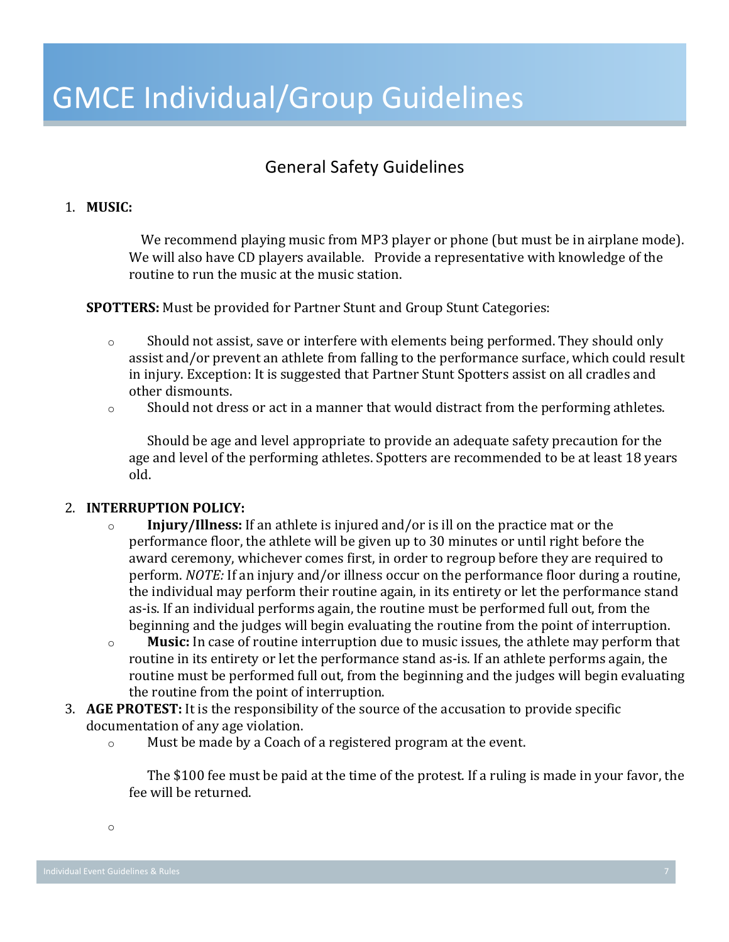## General Safety Guidelines

### 1. **MUSIC:**

We recommend playing music from MP3 player or phone (but must be in airplane mode). We will also have CD players available. Provide a representative with knowledge of the routine to run the music at the music station.

**SPOTTERS:** Must be provided for Partner Stunt and Group Stunt Categories:

- $\circ$  Should not assist, save or interfere with elements being performed. They should only assist and/or prevent an athlete from falling to the performance surface, which could result in injury. Exception: It is suggested that Partner Stunt Spotters assist on all cradles and other dismounts.
- $\circ$  Should not dress or act in a manner that would distract from the performing athletes.

Should be age and level appropriate to provide an adequate safety precaution for the age and level of the performing athletes. Spotters are recommended to be at least 18 years old. 

#### 2. **INTERRUPTION POLICY:**

- o **Injury/Illness:** If an athlete is injured and/or is ill on the practice mat or the performance floor, the athlete will be given up to 30 minutes or until right before the award ceremony, whichever comes first, in order to regroup before they are required to perform. *NOTE:* If an injury and/or illness occur on the performance floor during a routine, the individual may perform their routine again, in its entirety or let the performance stand as-is. If an individual performs again, the routine must be performed full out, from the beginning and the judges will begin evaluating the routine from the point of interruption.
- o **Music:** In case of routine interruption due to music issues, the athlete may perform that routine in its entirety or let the performance stand as-is. If an athlete performs again, the routine must be performed full out, from the beginning and the judges will begin evaluating the routine from the point of interruption.
- 3. AGE PROTEST: It is the responsibility of the source of the accusation to provide specific documentation of any age violation.
	- $\circ$  Must be made by a Coach of a registered program at the event.

The \$100 fee must be paid at the time of the protest. If a ruling is made in your favor, the fee will be returned.